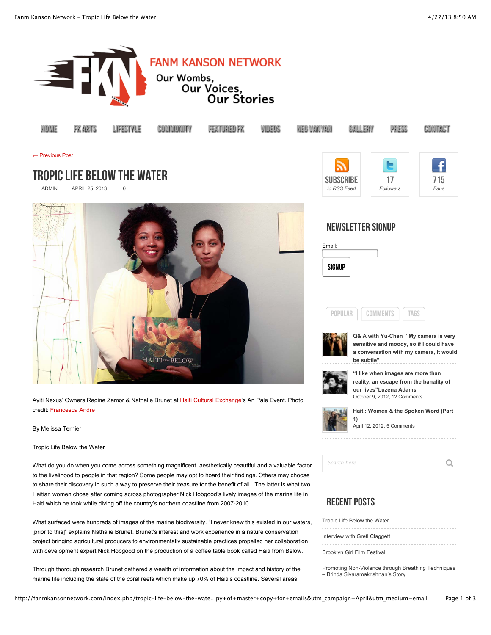

with development expert Nick Hobgood on the production of a coffee table book called Haiti from Below. Through thorough research Brunet gathered a wealth of information about the impact and history of the

marine life including the state of the coral reefs which make up 70% of Haiti's coastline. Several areas

project bringing agricultural producers to environmentally sustainable practices propelled her collaboration

| Tropic Life Below the Water                                                              |  |  |  |  |  |  |  |  |
|------------------------------------------------------------------------------------------|--|--|--|--|--|--|--|--|
| Interview with Gretl Claggett                                                            |  |  |  |  |  |  |  |  |
| Brooklyn Girl Film Festival                                                              |  |  |  |  |  |  |  |  |
| Promoting Non-Violence through Breathing Techniques<br>- Brinda Sivaramakrishnan's Story |  |  |  |  |  |  |  |  |